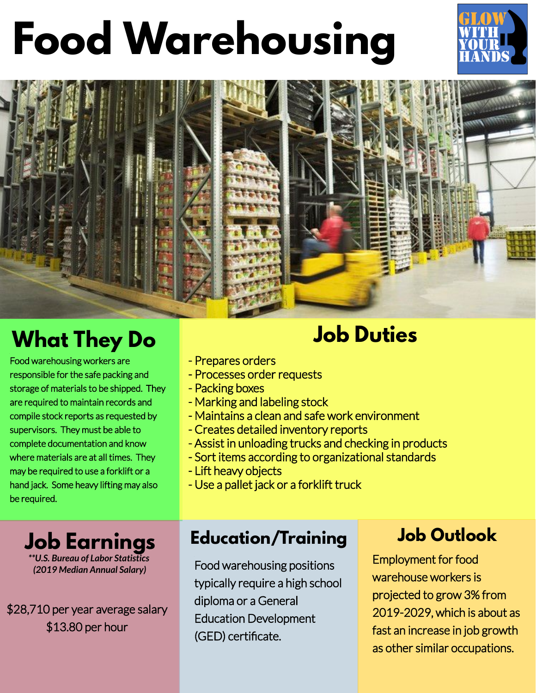# **Food Warehousing**





## **What They Do Job Duties**

Food warehousing workers are responsible for the safe packing and storage of materials to be shipped. They are required to maintain records and compile stock reports as requested by supervisors. They must be able to complete documentation and know where materials are at all times. They may be required to use a forklift or a hand jack. Some heavy lifting may also be required.

**Job Earnings** *\*\*U.S. Bureau of Labor Statistics (2019 Median Annual Salary)*

\$28,710 per year average salary \$13.80 per hour

- Prepares orders
- Processes order requests
- Packing boxes
- Marking and labeling stock
- Maintains a clean and safe work environment
- Creates detailed inventory reports
- Assist in unloading trucks and checking in products
- Sort items according to organizational standards
- Lift heavy objects
- Use a pallet jack or a forklift truck

#### **Education/Training**

Food warehousing positions typically require a high school diploma or a General Education Development (GED) certificate.

### **Job Outlook**

Employment for food warehouse workers is projected to grow 3% from 2019-2029, which is about as fast an increase in job growth as other similar occupations.